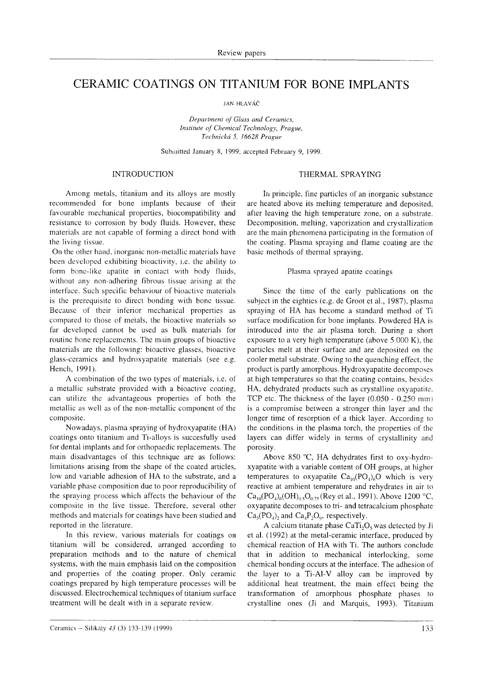# CERAMIC COATINGS ON TITANIUM FOR BONE IMPLANTS

**JAN. HLAVÁČ** 

Department of Glass and Ceramics, Institute of Chemical Technologv, Prague, Technická 5, 16628 Prague

Submitted January 8, 1999; accepted February 9, 1999.

#### INTRODUCTION

## Among metals, titanium and its alloys are mostly recommended for bone implants because of their favourable mechanical properties, biocompatibility and resistance to corrosion by body fluids. However, these materials are not capable of forming a direct bond with the living tissue.

On the other hand, inorganic non-metallic matcrials have been developed exhibiting bioactivity, i.e. the ability to form bone-like apatite in contact with body fluids, without any non-adhering fibrous tissue arising at the interface. Such specific behaviour of bioactive materials is the prerequisite to direct bonding with bonc tissuc. Because of their inferior mechanical properties as compared to those of metals, the bioactive materials so far developed cannot be used as bulk materials for routinc bone replacements. The main groups of bioactive materials are the following: bioactive glasses, bioactive glass-ccramics and hydroxyapatite materials (see e.g. Hench, 1991).

A combination of the two types of materials, i.e. of a metallic substrate provided with a bioactive coating, can utilize thc advantageous properties of both the metallic as well as of the non-metallic component of the composite.

Nowadays, plasma spraying of hydroxyapatite (HA) coatings onto titanium and Ti-alloys is succesfully used for dental implants and for orthopaedic replacements. The main disadvantages of this tcchnique are as follows: limitations arising from the shape of the coated articles, low and variable adhesion of HA to the substrate, and <sup>a</sup> variable phase composition due to poor reproducibility of the spraying process whioh affects the behaviour of the composite in the live tissue. Therefore, several other methods and materials for coatings have been studied and reported in the literature.

In this review, various materials for coatings on titanium will be considered, arranged according to preparation methods and to the nature of chemical systems, with the main emphasis laid on the composition and properties of the coating proper. Only ceramic coatings prepared by high temperature processes will be discussed. Electrochemical techniques of titanium surface treatment will be dealt with in a separate review.

# THERMAL SPRAYING

In principle, fine particles of an inorganic substance are heated above its melting temperature and deposited, after leaving the high temperature zone, on a substrate. Decomposition, melting, vaporization and crystallization are the main phenomena participating in the formation of the coating. Plasma spraying and flame coating are thc basic methods of thermal spraying.

#### Plasma sprayed apatite coatings

Since the time of the early publications on the subject in the eightics (e.g. de Groot et al., 1987), plasma spraying oÍ. HA has become a standard method of Ti surface modification for bone implants. Powdered HA is introduced into the air plasma torch. During a short exposure to a very high temperature (above 5 000 K), the particles melt at their surface and are deposited on the cooler metal substrate. Owing to the quenching effect. thc product is partly amorphous. Hydroxyapatite decornposes at high temperatures so that the coating contains, besides HA, dehydrated products such as crystalline oxyapatite. TCP etc. The thickness of the layer  $(0.050 - 0.250 \text{ mm})$ is a compromise between a stronger thin layer and the longer time of resorption of a thick layer. According to the conditions in the plasma torch, the properties of the layers can differ widely in terms of crystallinity and porosity.

Above 850 "C, HA dehydrates first to oxy-hydroxyapatite with a variable content of OH groups, at higher temperatures to oxyapatite  $Ca_{10}(PO_{4})_{6}O$  which is very reactive at ambient temperature and rehydrates in air to  $Ca_{10}(PO_4)_6(OH)_{0.5}O_{0.75}$  (Rey et al., 1991). Above 1200 °C, oxyapatite decomposes to tri- and tetracalcium phosphate  $Ca<sub>3</sub>(PO<sub>4</sub>)$ , and  $Ca<sub>4</sub>P<sub>2</sub>O<sub>9</sub>$ , respectively.

A calcium titanate phase  $CaTi<sub>2</sub>O<sub>s</sub>$  was detected by Ji et al. (1992) at the metal-ceramic interface, produced by chemical reaction of HA with Ti. The authors conclude that in addition to mechanical interlocking, some chemical bonding occurs at the interface. The adhesion of the layer to a Ti-Al-V alloy can be improved by additional heat treatment, the main effect being the transformation of amorphous phosphate phases to crystalline ones (Ji and Marquis, 1993). Titanium

Ceramics - Silikáty 4.] (3) 133-]39 (l999) <sup>I</sup>-l --)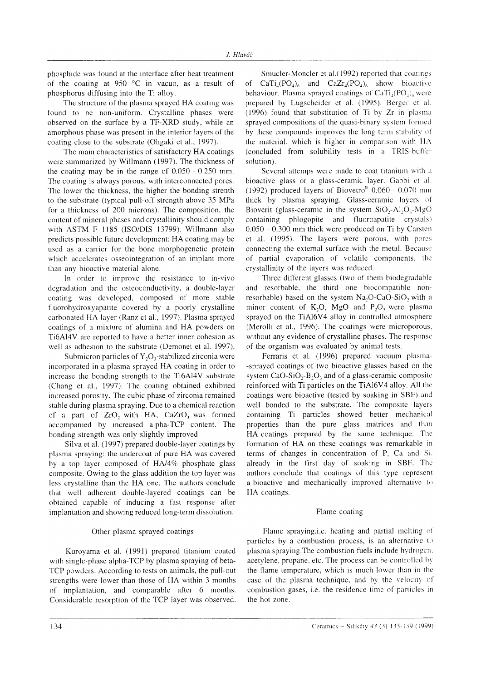phosphide was found at the interface after heat treatment of the coating at 950  $\degree$ C in vacuo, as a result of phosphorus diffusing into the Ti alloy.

The structure of the plasma sprayed HA coating was found to be non-uniform. Crystalline phases were observed on the surface by a TF-XRD study, while an amorphous phase was present in the interior layers of the coating close to the substrate (Ohgaki et al., 1997).

The main characteristics of satisfactory HA coatings were summarized by Willmann (1997). The thickness of the coating may be in the range of  $0.050 - 0.250$  mm. The coating is always porous, with interconnected pores. The lower the thickness, the higher the bonding strenth to the substrate (typical pull-off strength above 35 MPa for a thickness of 200 microns). The composition. the content of mineral phases and crystallinity should comply with  $ASTM$  F  $1185$  (ISO/DIS 13799). Willmann also predicts possible Íuture development: HA coating may be used as a carrier for the bone morphogenetic protein which accelerates osseointegration of an implant more than any bioactive material alone.

In order to improve the resistance to in-vivo degradation and the osteoconductivity, a double-layer coating was developed, composed of more stable fluorohydroxyapatite covered by a poorly crystalline carbonated HA layer (Ranz et al.. 1997). Plasma sprayed coatings of a mixture of alumina and HA powders on Ti6A14V are reported to have a better inner cohesion as well as adhesion to the substrate (Demonet et al. 1997).

Submicron particles of  $Y_2O_3$ -stabilized zirconia were incorporated in a plasma sprayed HA coating in order to increase the bonding strength to the Ti6Al4V substrate (Chang et al., 1997). The coating obtained exhibited increased porosity. The cubic phase of zirconia remained stable during plasma spraying. Due to a chemical reaction of a part of ZrO, with HA, CaZrO, was fonned accompanied by increased alpha-TCP content. The bonding strength was only slightly improved.

Silva et al. (1997) prepared double-layer coatings by plasma spraying: the undercoat of pure HA was covered by a top layer composed of HN4% phosphatc glass composite. Owing to the glass addition the top layer was less crystalline than the HA one. The authors conclude that well adherent double-layered coatings can be obtained capable of inducing a fast response after implantation and showing reduced long-term dissolution.

## Other plasma sprayed coatings

Kuroyama et al. (1991) prepared titanium coated with single-phase alpha-TCP by plasma spraying of beta- 'fCP powdcrs. According to tests on animals, the pull-out strengths were lower than those of HA within 3 months of implantation, and comparable after  $6$  months. Considerable resorption of the TCP layer was observed.

Smucler-Moncler et al.(1992) reported that coatings of  $CaTi<sub>4</sub>(PO<sub>4</sub>)<sub>6</sub>$  and  $CaZr<sub>4</sub>(PO<sub>4</sub>)<sub>6</sub>$  show bioactive behaviour. Plasma sprayed coatings of  $\text{CaTi}_4(\text{PO}_4)_{6}$  were prepared by Lugscheider et al. (1995). Berger et al. (1996) found that substitution of Ti by  $Zr$  in plasma sprayed compositions of the quasi-binary system formed by these compounds improves the long term stability of the material, which is higher in comparison with HA (concluded from solubility tests in a TRIS-buffer solution).

Several attemps were made to coat titanium with a bioactive glass or a glass-ceramic layer. Gabbi et al. (1992) produced layers of Biovetro<sup>R</sup> 0.060 - 0.070 mm thick by plasma spraying. Glass-ceramic layers of Bioverit (glass-ceramic in the system  $SiO<sub>2</sub>-Al<sub>2</sub>O<sub>2</sub>$ -MgO containing phlogopite and fluoroapatite crystals)  $0.050 - 0.300$  mm thick were produced on Ti by Carsten et al. (1995). The layers were porous, with porcs connecting the external surface with the metal. Because of partial evaporation oť volatile components, thc crystallinity of the layers was reduced.

Three different glasses (two of them biodegradable and resorbable, the third one biocompatible nonresorbable) based on the system Na.O-CaO-SiO, with a minor content of  $K_2O$ , MgO and  $P_2O_5$  were plasma sprayed on the TiAl6V4 alloy in controlled atmosphere (Merolli et al., 1996). The coatings were microporous. without any evidence of crystalline phases. The response of the organism was evaluated by animal tests.

Ferraris et al. (1996) prepared vacuum plasma--sprayed coatings of two bioactive glasses based on the system  $CaO-SiO<sub>2</sub>-B<sub>2</sub>O<sub>3</sub>$  and of a glass-ceramic composite reinforced with Ti particles on the TiAl6V4 alloy. All thc coatings were bioactive (tested by soaking in SBF) and well bonded to the substrate. The composite layers containing Ti particles showed better mechanical properties than the pure glass matrices and than HA coatings prepared by the same technique. The formation of HA on these coatings was remarkable in terms of changes in concentration of P, Ca and Si. already in the first day of soaking in SBF. The authors conclude that coatings of this type represcnt a bioactive and mechanically improved alternative to HA coatings.

# Flame coating

Flame spraying, i.e. heating and partial melting of particles by a combustion process, is an alternative to plasma spraying. The combustion fuels include hydrogen. acetylene, propane, etc. The process can be controlled by the flame temperature, which is much lower than in the case of the plasma technique, and by the velocity of combustion gases, i.e. the residence time of particles in the hot zone.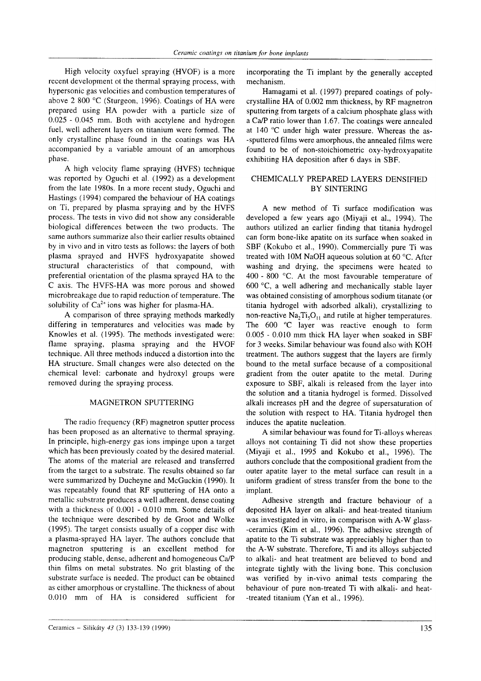High velocity oxyfuel spraying (HVOF) is a more recent development ot the thermal spraying process, with hypersonic gas velocities and combustion temperatures of above 2 800 'C (Sturgeon, 1996). Coatings of HA were prepared using HA powder with a particle size of 0.025 - 0.045 mm. Both with acetylene and hydrogen fuel, well adherent layers on titanium were formed. The only crystalline phase found in the coatings was HA accompanied by a variable amount of an amorphous phase.

A high vclocity flame spraying (HVFS) technique was reported by Oguchi et al. (1992) as a development from the late 1980s. In a more recent study, Oguchi and Hastings (1994) compared the behaviour of HA coatings on Ti, prepared by plasma spraying and by the HVFS process. The tests in vivo did not show any considerable biological differences between the two products. The same authors summarize also their earlier results obtained by in vivo and in vitro tests as follows: the layers of both plasma sprayed and HVFS hydroxyapatite showed structural characteristics of that compound, with preferential orientation of the plasma sprayed HA to the C axis. The HVFS-HA was more porous and showed microbreakage due to rapid reduction of temperature. The solubility of  $Ca^{2+}$  ions was higher for plasma-HA.

A comparison of three spraying methods markedly differing in temperaturcs and velocities was made by Knowles et al. (1995). The methods investigated were: flame spraying, plasma spraying and the HVOF technique. All three methods induced a distortion into the HA structure. Small changes were also detected on the chemical level: carbonate and hydroxyl groups were removed during the spraying process.

## MAGNETRON SPUTTERING

The radio frequency (RF) magnetron sputter process has been proposed as an alternative to thermal spraying. In principle, high-energy gas ions impinge upon a target which has been previously coated by the desired material. The atoms of the material are released and transferred from the target to a substrate. The results obtained so far were summarized by Ducheyne and McGuckin (1990). It was repeatably found that RF sputtering of HA onto <sup>a</sup> metallic substrate produces a well adherent, dense coating with a thickness of 0.001 - 0.010 mm. Some details of the technique were described by de Groot and Wolke (1995). The target consists usually of a copper disc with a plasma-sprayed HA layer. The authors conclude that magnetron sputtering is an excellent method for producing stable, dense, adherent and homogeneous Ca/P thin films on metal substrates. No grit blasting of the substrate surface is needed. The product can be obtained as either amorphous or crystalline. The thickness of about 0.010 mm of HA is considered sufficient for

incorporating the Ti implant by the generally accepted mechanism.

Hamagami et al. (1997) prepared coatings of polycrystalline HA of 0.002 mm thickness, by RF magnetron sputtering from targets of a calcium phosphate glass with a Ca/P ratio lower than 1.67. The coatings were annealed at 140 "C under high water pressure. Whereas the as- -sputtered films were amorphous, the annealed films were found to be of non-stoichiometric oxy-hydroxyapatite exhibiting HA deposition after 6 days in SBF.

# CHEMICALLY PREPARED LAYERS DENSIFIED BY SINTERING

A new method of Ti surface modification was developed a few years ago (Miyaji et al., 1994). The authors utilized an earlier finding that titania hydrogel can form bone-like apatite on its surface when soaked in SBF (Kokubo et al., 1990). Commercially pure Ti was treated with 10M NaOH aqueous solution at 60  $^{\circ}$ C. After washing and drying, the specimens were heated to 400 - 800 'C. At the most favourable temperature of 600 'C, a well adhering and mechanically stable layer was obtained consisting of amorphous sodium titanate (or titania hydrogel with adsorbed alkali), crystallizing to non-reactive  $Na<sub>2</sub>Ti<sub>5</sub>O<sub>11</sub>$  and rutile at higher temperatures. The  $600$   $°C$  layer was reactive enough to form 0.005 - 0.010 mm thick HA layer when soaked in SBF for 3 weeks. Similar behaviour was found also with KOH treatment. The authors suggest that the layers are firmly bound to the metal surface because of a compositional gradient from the outer apatite to the metal. During exposure to SBF, alkali is released from the layer into the solution and a titania hydrogel is formed. Dissolved alkali increases pH and the degree of supersaturation of the solution with respect to HA. Titania hydrogel then induces the apatite nucleation.

A similar behaviour was found for Ti-alloys whereas alloys not containing Ti did not show these properties (Miyaji et al., 1995 and Kokubo et al., 1996). The authors conclude that the compositional gradient from the outer apatite layer to the metal surface can result in a uniform gradient of stress transfer from the bone to the implant.

Adhesive strength and fracture behaviour of <sup>a</sup> deposited HA layer on alkali- and heat-treated titanium was investigated in vitro, in comparison with A-W glass- -ceramics (Kim et al., 1996). The adhesive strength of apatite to the Ti substrate was appreciably higher than to the A-W substrate. Therefore, Ti and its alloys subjected to alkali- and heat treatment are believed to bond and integrate tightly with the living bone. This conclusion was verified by in-vivo animal tests comparing the behaviour of pure non-treated Ti with alkali- and heat -treated titanium (Yan et al., 1996).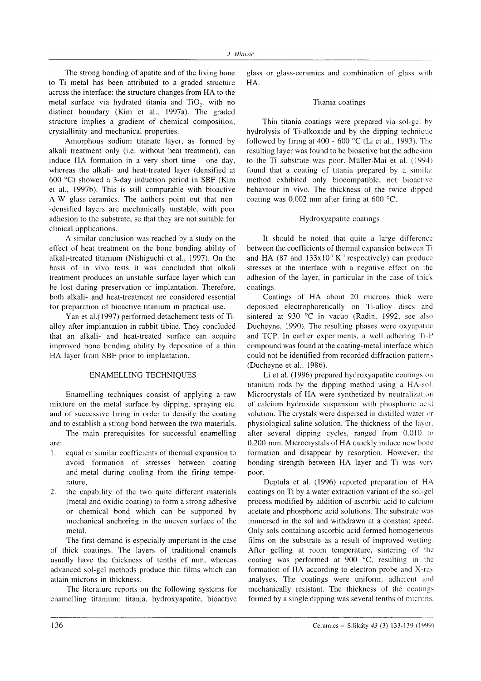The strong bonding of apatite and of the living bone to Ti metal has been attributed to a graded structure across the interface: the structure changes from HA to the metal surface via hydrated titania and TiO<sub>2</sub>, with no distinct boundary (Kim et al., 1997a). The graded structure implies a gradient of chemical composition, crystallinity and mechanical properties.

Amorphous sodium titanate laver, as formed by alkali treatment only (i.e. without heat treatment), can induce HA formation in a very short time - one day, whereas the alkali- and heat-treated layer (densified at 600 °C) showed a 3-day induction period in SBF (Kim et al., 1997b). This is still comparable with bioactive A-W glass-ceramics. The authors point out that non--densified layers are mechanically unstable, with poor adhesion to the substrate, so that they are not suitable for clinical applications.

A similar conclusion was reached by a study on the effect of heat treatment on the bone bonding ability of alkali-treated titanium (Nishiguchi et al., 1997). On the basis of in vivo tests it was concluded that alkali treatment produces an unstable surface layer which can be lost during preservation or implantation. Therefore, both alkali- and heat-treatment are considered essential for preparation of bioactive titanium in practical use.

Yan et al.(1997) performed detachement tests of Tialloy after implantation in rabbit tibiae. They concluded that an alkali- and heat-treated surface can acquire improved bone bonding ability by deposition of a thin HA layer from SBF prior to implantation.

#### **ENAMELLING TECHNIQUES**

Enamelling techniques consist of applying a raw mixture on the metal surface by dipping, spraying etc. and of successive firing in order to densify the coating and to establish a strong bond between the two materials.

The main prerequisites for successful enamelling are:

- equal or similar coefficients of thermal expansion to 1. avoid formation of stresses between coating and metal during cooling from the firing temperature,
- the capability of the two quite different materials 2. (metal and oxidic coating) to form a strong adhesive or chemical bond which can be supported by mechanical anchoring in the uneven surface of the metal.

The first demand is especially important in the case of thick coatings. The layers of traditional enamels usually have the thickness of tenths of mm, whereas advanced sol-gel methods produce thin films which can attain microns in thickness.

The literature reports on the following systems for enamelling titanium: titania, hydroxyapatite, bioactive glass or glass-ceramics and combination of glass with  $HA$ 

#### Titania coatings

Thin titania coatings were prepared via sol-gel by hydrolysis of Ti-alkoxide and by the dipping technique followed by firing at 400 - 600 °C (Li et al., 1993). The resulting layer was found to be bioactive but the adhesion to the Ti substrate was poor. Müller-Mai et al. (1994) found that a coating of titania prepared by a similar method exhibited only biocompatible, not bioactive behaviour in vivo. The thickness of the twice dipped coating was 0.002 mm after firing at 600 °C.

#### Hydroxyapatite coatings

It should be noted that quite a large difference between the coefficients of thermal expansion between Ti and HA (87 and  $133x10^7 K^4$  respectively) can produce stresses at the interface with a negative effect on the adhesion of the layer, in particular in the case of thick coatings.

Coatings of HA about 20 microns thick were deposited electrophoretically on Ti-alloy discs and sintered at 930 °C in vacuo (Radin, 1992, see also Ducheyne, 1990). The resulting phases were oxyapatite and TCP. In earlier experiments, a well adhering Ti-P compound was found at the coating-metal interface which could not be identified from recorded diffraction patterns (Ducheyne et al., 1986).

Li et al. (1996) prepared hydroxyapatite coatings on titanium rods by the dipping method using a HA-sol. Microcrystals of HA were synthetized by neutralization of calcium hydroxide suspension with phosphoric acid solution. The crystals were dispersed in distilled water or physiological saline solution. The thickness of the layer. after several dipping cycles, ranged from 0.010 to 0.200 mm. Microcrystals of HA quickly induce new bone formation and disappear by resorption. However, the bonding strength between HA layer and Ti was very poor.

Deptula et al. (1996) reported preparation of HA coatings on Ti by a water extraction variant of the sol-gel process modified by addition of ascorbic acid to calcium acetate and phosphoric acid solutions. The substrate was immersed in the sol and withdrawn at a constant speed. Only sols containing ascorbic acid formed homogeneous films on the substrate as a result of improved wetting. After gelling at room temperature, sintering of the coating was performed at 900 °C, resulting in the formation of HA according to electron probe and X-ray analyses. The coatings were uniform, adherent and mechanically resistant. The thickness of the coatings formed by a single dipping was several tenths of microns.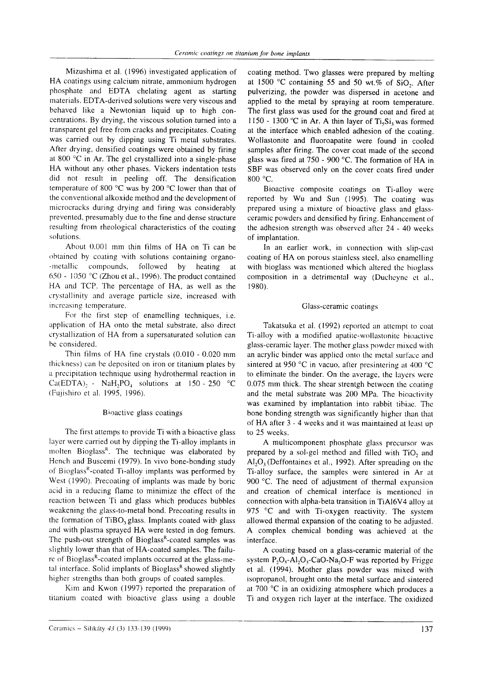Mizushima et al. (1996) investigated application of HA coatings using calcium nitrate, ammonium hydrogen phosphate and EDTA chelating agent as starting materials. EDTA-derived solutions were very viscous and behaved like a Newtonian liquid up to high concentrations. By drying, the viscous solution.turned into a transparent gel free from cracks and precipitates. Coating was carried out by dipping using Ti metal substrates. After drying, densified coatings were obtained by firing at 800  $\degree$ C in Ar. The gel crystallized into a single-phase HA without any other phases. Vickers indentation tests did not result in peeling off. The densification temperature of 800  $\degree$ C was by 200  $\degree$ C lower than that of the conventional alkoxide method and the development oť microcracks during drying and firing was considerably prevented, presumably due to the fine and dense structure resulting from rheological characteristics of the coating solutions.

About 0.001 mm thin films of HA on Ti can be obtained by coating with solutions containing organo--metallic compounds, followed by heating at 650 - 1050 °C (Zhou et al., 1996). The product contained HA and TCP. The pcrcentage of HA, as well as the crystallinity and average particle size, increased with increasing temperature.

For the first step of enamelling techniques, i.e. application of HA onto the metal substrate, also direct crystallization oÍ.HA from a supersaturated solution can be considered.

Thin films oť HA fine crystals (0.0l0 . 0.020 mm thickness) can be deposited on iron or titanium plates by a prccipitation technique using hydrothermal reaction in Ca(EDTA), - NaH<sub>2</sub>PO<sub>4</sub> solutions at 150 - 250 °C (Fujishiro et al. 1995, 1996).

#### Bioactive glass coatings

The first attemps to provide Ti with a bioactive glass layer were carried out by dipping the Ti-alloy implants in molten Bioglass<sup>R</sup>. The technique was elaborated by Hench and Buscemi (1979). In vivo bone-bonding study of Bioglass<sup>R</sup>-coated Ti-alloy implants was performed by West (1990). Precoating of implants was made by boric acid in a reducing flame to minimize the effect of the reaction between Ti and glass which produces bubbles weakening the glass-to-metal bond. Precoating results in the ťormation of TiBo. glass. Implants coated with glass and with plasrna sprayed HA were tested in dog femurs. The push-out strength of Bioglass<sup>R</sup>-coated samples was slightly lower than that of HA-coated samples. The failure of Bioglass<sup>R</sup>-coated implants occurred at the glass-metal interface. Solid implants of  $Bioglass<sup>R</sup>$  showed slightly highcr strengths than both groups of coated samples.

Kim and Kwon (1997) reported the preparation of titanium coated with bioactive glass using a double coating method. Two glasses were prepared by melting at 1500 °C containing 55 and 50 wt.% of  $SiO<sub>2</sub>$ . After pulverizing, the powder was dispersed in acetone and applied to the metal by spraying at room temperature. The first glass was used for the ground coat and fired at 1150 - 1300 °C in Ar. A thin layer of Ti.Si, was formed at the interface which enabled adhesion of the coating. Wollastonite and fluoroapatite were found in cooled samples after firing. The cover coat made of the second glass was fired at 750 - 900 "C. The formation of HA in SBF was observed only on the cover coats fired under 800 °C.

Bioactive composite coatings on Ti-alloy werc reported by Wu and Sun (1995). The coating was prepared using a mixture of bioactive glass and glassceramic powders and densified by firing. Enhancement of the adhesion strength was observed after 24 - 40 weeks of implantation.

In an earlier work, in connection with slip-cast coating of HA on porous stainless steel, also enamelling with bioglass was mentioned which altered the bioglass composition in a detrimental way (Ducheyne et al., l 980).

### Glass-ceramic coatings

Takatsuka et al. (1992) reported an attempt to coat Ti-alloy with a modificd apatirc-wollasronitc bioacrive glass-ceramic layer. The mother glass powder mixed with an acrylic binder was applied onto the metal surface and sintered at 950 °C in vacuo, after presintering at 400 °C to eliminate the binder. On the average, the layers were 0.075 mm thick. The shear strentgh between the coating and the metal substrate was 200 MPa. Thc bioactivity was examined by implantation into rabbit tibiac. Thc bone bonding strength was significantly highcr than that of HA after 3 - 4 weeks and it was maintained at least up to 25 weeks.

A multicomponent phosphate glass prccursor was prepared by a sol-gel method and filled with TiO, and  $Al_2O_3$  (Deffontaines et al., 1992). After spreading on the Ti-alloy surface, the samples were sintered in Ar at 900 $\degree$ C. The need of adjustment of thermal expansion and creation of chemical interface is mentioned in connection with alpha-beta transition in TiAl6V4 alloy at 975  $\degree$ C and with Ti-oxygen reactivity. The system allowed thermal expansion of the coating to be adjusted. A complex chemical bonding was achieved at thc interface.

A coating based on a glass-ceramic material oť thc system  $P_2O_5$ -Al<sub>2</sub>O<sub>3</sub>-CaO-Na<sub>2</sub>O-F was reported by Frigge et al. (1994). Mother glass powder was mixed with isopropanol, brought onto the metal surface and sintered at 700 $\degree$ C in an oxidizing atmosphere which produces a Ti and oxygen rich layer at the interface. The oxidized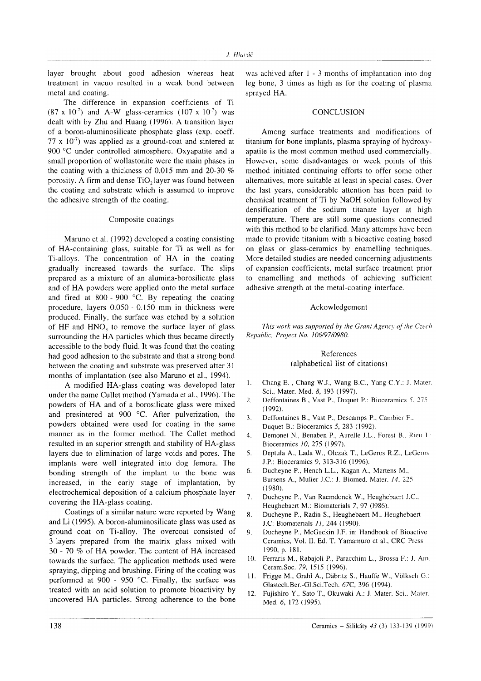layer brought about good adhesion whereas heat treatment in vacuo resulted in a weak bond between metal and coating.

The difference in expansion coefficients of Ti  $(87 \times 10^7)$  and A-W glass-ceramics  $(107 \times 10^7)$  was dealt with by Zhu and Huang (1996). A transition layer of a boron-aluminosilicate phosphate glass (exp. coeff. 77 x  $10<sup>7</sup>$ ) was applied as a ground-coat and sintered at <sup>900</sup>'C under controlled atmosphere. Oxyapatite and <sup>a</sup> small proportion of wollastonite were the main phases in the coating with a thickness of 0.015 mm and 20-30  $\%$ porosity. A firm and dense TiO, layer was found between the coating and substrate which is assumed to improve the adhesive strength of the coating.

#### Composite coatings

Maruno et al. (1992) developed a coating consisting of HA-containing glass, suitable for Ti as well as for Ti-alloys. The concentration of HA in the coating gradually increased towards the surface. The slips prepared as a mixture of an alumina-borosilicate glass and of HA powders were applied onto the metal surface and fired at 800 - 900 "C. By repeating the coating procedure, layers 0.050 - 0. 150 mm in thickness were produced. Finally, the surface was etched by a solution of HF and HNO., to remove the surface layer of glass surrounding the HA particles which thus became directly accessible to the body fluid. It was found that the coating had good adhesion to the substrate and that a strong bond between the coating and substrate was preserved after 3l months of implantation (see also Maruno et al., 1994).

A modified HA-glass coating was developed later under the name Cullet method (Yamada et al., 1996). The powders of HA and of a borosilicate glass were mixed and presintered at 900 "C. After pulverization, the powders obtained were used for coating in the same manner as in the former method. The Cullet method resulted in an superior strength and stability of HA-glass layers due to elimination of large voids and pores. The implants were well integrated into dog femora. The bonding strength of the implant to the bone was increased, in the early stage of implantation, by electrochemical deposition of a calcium phosphate layer covering the HA-glass coating.

Coatings of a similar nature were reported by Wang and Li (1995). A boron-aluminosilicate glass was used as ground coat on Ti-alloy. The overcoat consisted of 3 layers prepared from the matrix glass mixed with 30 - 70 % of HA powder. The content of HA increased towards the surface. The application methods used were spraying, dipping and brushing. Firing of the coating was performed at 900 - 950 "C. Finally, the surface was treated with an acid solution to promote bioactivity by uncovered HA particles. Strong adherence to the bone

was achived after 1 - 3 months of implantation into dog leg bone, 3 times as high as for the coating oť plasrna sprayed HA.

## **CONCLUSION**

Among surface treatments and modifications of titanium for bone implants, plasma spraying of hydroxyapatite is the most common method used commercially. However, some disadvantages or week points of this method initiated continuing efforts to offer some other alternatives, more suitable at least in special cases. Over the last years, considerable attention has been paid to chemical treatment of Ti by NaOH solution followed by densification of the sodium titanate layer at high temperature. There are still some questions connected with this method to be clarified. Many attemps have been made to provide titanium with a bioactive coating based on glass or glass-ceramics by enamelling techniques. More detailed studies are needed concerning adjustments of expansion coefficients, metal surface treatment prior to enamelling and methods of achieving sufficient adhesive strength at the metal-coating interface.

### Ackowledgement

This work was supported by the Grant Agency of the Czech Republic, Project No. I 06/97/0980.

#### References (alphabetical list of citations)

- l. Chang E. , Chang W.J., Wang B.C., Yang C.Y.: J. Mater. Sci., Mater. Med. 8, 193 (1997).
- 2. Deffontaines B., Vast P., Duquet P.: Bioceramics  $5, 275$  $(1992)$ .
- 3. Deffontaines B., Vast P., Descamps P., Cambier F.. Duquet B.: Bioceramics 5,283 (1992).
- 4. Demonet N., Benaben P., Aurelle J.L., Forest B., Rieu J.: Bioceramics 10, 275 (1997).
- 5. Deptula A., Lada W., Olczak T., LeGeros R.Z., LeGeros J.P.: Bioceramics 9,313-3 l6 (1996).
- 6. Ducheyne P., Hench L.L., Kagan A., Martens M., Bursens A., Mulier J.C.: J. Biomed. Mater. 14.225  $(1980).$
- '1 . Ducheyne P., Van Raemdonck W., Heughebaert i.C., Heughebaert M.: Biomaterials 7, 97 (1986).
- 8. Ducheyne P., Radin S., Heughebaert M., Heughebaert J.C: Biomaterials 11,244 (1990).
- 9. Ducheyne P., McGuckin J.F. in: Handbook of Bioactive Ceramics, Vol. II. Ed. T. Yamamuro et al., CRC Press 1990, p. l8l.
- 10. Ferraris M., Rabajoli P., Paracchini L., Brossa F.: J. Arn. Ceram.Soc. 79, 1515 (1996).
- <sup>l</sup>l. Frigge M., Grahl A., Dábritz S., Hauffe W., Vólksch C': Clastech.Ber.-Gl.Sci.Tech. 67C, 396 (1994).
- 12. Fujishiro Y., Sato T., Okuwaki A.: J. Mater. Sci.. Mater. Med. 6, 172 (1995).